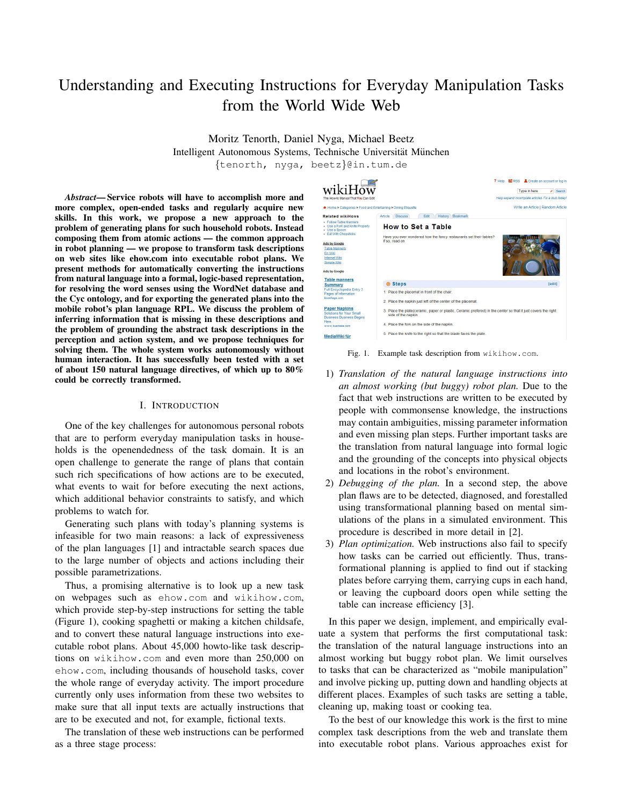# Understanding and Executing Instructions for Everyday Manipulation Tasks from the World Wide Web

Moritz Tenorth, Daniel Nyga, Michael Beetz

Intelligent Autonomous Systems, Technische Universität München

{tenorth, nyga, beetz}@in.tum.de

*Abstract*— Service robots will have to accomplish more and more complex, open-ended tasks and regularly acquire new skills. In this work, we propose a new approach to the problem of generating plans for such household robots. Instead composing them from atomic actions — the common approach in robot planning — we propose to transform task descriptions on web sites like ehow.com into executable robot plans. We present methods for automatically converting the instructions from natural language into a formal, logic-based representation, for resolving the word senses using the WordNet database and the Cyc ontology, and for exporting the generated plans into the mobile robot's plan language RPL. We discuss the problem of inferring information that is missing in these descriptions and the problem of grounding the abstract task descriptions in the perception and action system, and we propose techniques for solving them. The whole system works autonomously without human interaction. It has successfully been tested with a set of about 150 natural language directives, of which up to 80% could be correctly transformed.

# I. INTRODUCTION

One of the key challenges for autonomous personal robots that are to perform everyday manipulation tasks in households is the openendedness of the task domain. It is an open challenge to generate the range of plans that contain such rich specifications of how actions are to be executed, what events to wait for before executing the next actions, which additional behavior constraints to satisfy, and which problems to watch for.

Generating such plans with today's planning systems is infeasible for two main reasons: a lack of expressiveness of the plan languages [1] and intractable search spaces due to the large number of objects and actions including their possible parametrizations.

Thus, a promising alternative is to look up a new task on webpages such as ehow.com and wikihow.com, which provide step-by-step instructions for setting the table (Figure 1), cooking spaghetti or making a kitchen childsafe, and to convert these natural language instructions into executable robot plans. About 45,000 howto-like task descriptions on wikihow.com and even more than 250,000 on ehow.com, including thousands of household tasks, cover the whole range of everyday activity. The import procedure currently only uses information from these two websites to make sure that all input texts are actually instructions that are to be executed and not, for example, fictional texts.

The translation of these web instructions can be performed as a three stage process:



Fig. 1. Example task description from wikihow.com.

- 1) *Translation of the natural language instructions into an almost working (but buggy) robot plan.* Due to the fact that web instructions are written to be executed by people with commonsense knowledge, the instructions may contain ambiguities, missing parameter information and even missing plan steps. Further important tasks are the translation from natural language into formal logic and the grounding of the concepts into physical objects and locations in the robot's environment.
- 2) *Debugging of the plan.* In a second step, the above plan flaws are to be detected, diagnosed, and forestalled using transformational planning based on mental simulations of the plans in a simulated environment. This procedure is described in more detail in [2].
- 3) *Plan optimization.* Web instructions also fail to specify how tasks can be carried out efficiently. Thus, transformational planning is applied to find out if stacking plates before carrying them, carrying cups in each hand, or leaving the cupboard doors open while setting the table can increase efficiency [3].

In this paper we design, implement, and empirically evaluate a system that performs the first computational task: the translation of the natural language instructions into an almost working but buggy robot plan. We limit ourselves to tasks that can be characterized as "mobile manipulation" and involve picking up, putting down and handling objects at different places. Examples of such tasks are setting a table, cleaning up, making toast or cooking tea.

To the best of our knowledge this work is the first to mine complex task descriptions from the web and translate them into executable robot plans. Various approaches exist for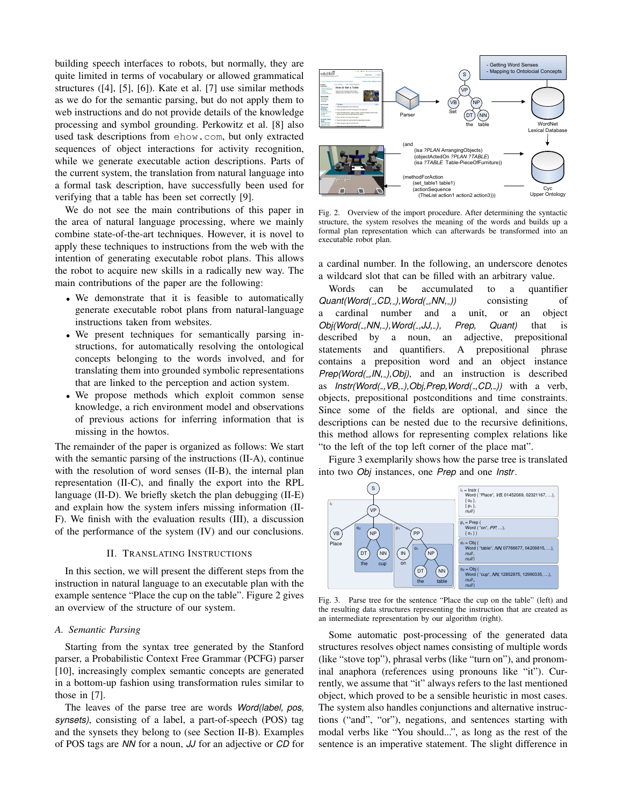building speech interfaces to robots, but normally, they are quite limited in terms of vocabulary or allowed grammatical structures ([4], [5], [6]). Kate et al. [7] use similar methods as we do for the semantic parsing, but do not apply them to web instructions and do not provide details of the knowledge processing and symbol grounding. Perkowitz et al. [8] also used task descriptions from ehow.com, but only extracted sequences of object interactions for activity recognition, while we generate executable action descriptions. Parts of the current system, the translation from natural language into a formal task description, have successfully been used for verifying that a table has been set correctly [9].

We do not see the main contributions of this paper in the area of natural language processing, where we mainly combine state-of-the-art techniques. However, it is novel to apply these techniques to instructions from the web with the intention of generating executable robot plans. This allows the robot to acquire new skills in a radically new way. The main contributions of the paper are the following:

- We demonstrate that it is feasible to automatically generate executable robot plans from natural-language instructions taken from websites.
- We present techniques for semantically parsing instructions, for automatically resolving the ontological concepts belonging to the words involved, and for translating them into grounded symbolic representations that are linked to the perception and action system.
- We propose methods which exploit common sense knowledge, a rich environment model and observations of previous actions for inferring information that is missing in the howtos.

The remainder of the paper is organized as follows: We start with the semantic parsing of the instructions (II-A), continue with the resolution of word senses (II-B), the internal plan representation (II-C), and finally the export into the RPL language (II-D). We briefly sketch the plan debugging (II-E) and explain how the system infers missing information (II-F). We finish with the evaluation results (III), a discussion of the performance of the system (IV) and our conclusions.

#### II. TRANSLATING INSTRUCTIONS

In this section, we will present the different steps from the instruction in natural language to an executable plan with the example sentence "Place the cup on the table". Figure 2 gives an overview of the structure of our system.

# *A. Semantic Parsing*

Starting from the syntax tree generated by the Stanford parser, a Probabilistic Context Free Grammar (PCFG) parser [10], increasingly complex semantic concepts are generated in a bottom-up fashion using transformation rules similar to those in [7].

The leaves of the parse tree are words *Word(label, pos, synsets)*, consisting of a label, a part-of-speech (POS) tag and the synsets they belong to (see Section II-B). Examples of POS tags are *NN* for a noun, *JJ* for an adjective or *CD* for



Fig. 2. Overview of the import procedure. After determining the syntactic structure, the system resolves the meaning of the words and builds up a formal plan representation which can afterwards be transformed into an executable robot plan.

a cardinal number. In the following, an underscore denotes a wildcard slot that can be filled with an arbitrary value.

Words can be accumulated to a quantifier *Quant(Word( ,CD, ),Word( ,NN, ))* consisting of a cardinal number and a unit, or an object *Obj(Word( ,NN, ),Word( ,JJ, ), Prep, Quant)* that is described by a noun, an adjective, prepositional statements and quantifiers. A prepositional phrase contains a preposition word and an object instance *Prep(Word(\_,IN,\_),Obj)*, and an instruction is described as *Instr(Word( ,VB, ),Obj,Prep,Word( ,CD, ))* with a verb, objects, prepositional postconditions and time constraints. Since some of the fields are optional, and since the descriptions can be nested due to the recursive definitions, this method allows for representing complex relations like "to the left of the top left corner of the place mat".

Figure 3 exemplarily shows how the parse tree is translated into two *Obj* instances, one *Prep* and one *Instr*.



Fig. 3. Parse tree for the sentence "Place the cup on the table" (left) and the resulting data structures representing the instruction that are created as an intermediate representation by our algorithm (right).

Some automatic post-processing of the generated data structures resolves object names consisting of multiple words (like "stove top"), phrasal verbs (like "turn on"), and pronominal anaphora (references using pronouns like "it"). Currently, we assume that "it" always refers to the last mentioned object, which proved to be a sensible heuristic in most cases. The system also handles conjunctions and alternative instructions ("and", "or"), negations, and sentences starting with modal verbs like "You should...", as long as the rest of the sentence is an imperative statement. The slight difference in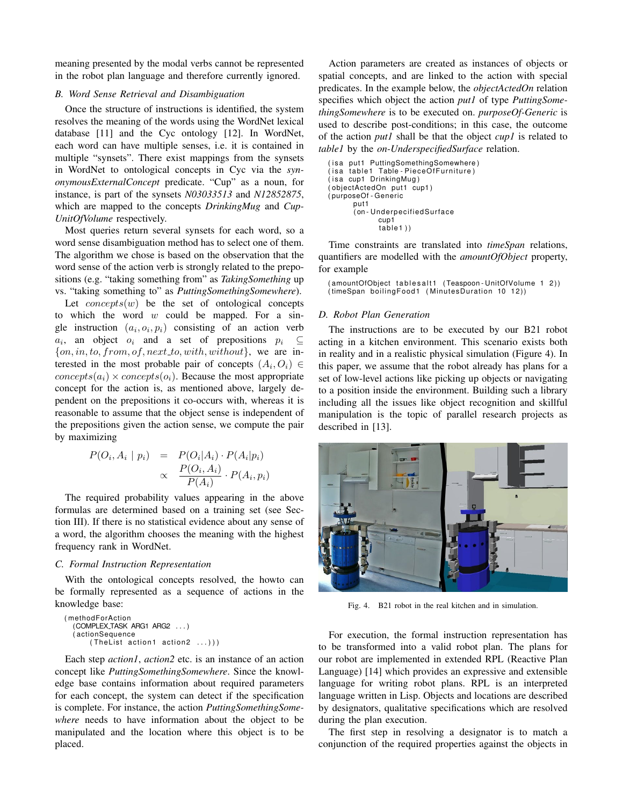meaning presented by the modal verbs cannot be represented in the robot plan language and therefore currently ignored.

# *B. Word Sense Retrieval and Disambiguation*

Once the structure of instructions is identified, the system resolves the meaning of the words using the WordNet lexical database [11] and the Cyc ontology [12]. In WordNet, each word can have multiple senses, i.e. it is contained in multiple "synsets". There exist mappings from the synsets in WordNet to ontological concepts in Cyc via the *synonymousExternalConcept* predicate. "Cup" as a noun, for instance, is part of the synsets *N03033513* and *N12852875*, which are mapped to the concepts *DrinkingMug* and *Cup-UnitOfVolume* respectively.

Most queries return several synsets for each word, so a word sense disambiguation method has to select one of them. The algorithm we chose is based on the observation that the word sense of the action verb is strongly related to the prepositions (e.g. "taking something from" as *TakingSomething* up vs. "taking something to" as *PuttingSomethingSomewhere*).

Let  $concepts(w)$  be the set of ontological concepts to which the word  $w$  could be mapped. For a single instruction  $(a_i, o_i, p_i)$  consisting of an action verb  $a_i$ , an object  $o_i$  and a set of prepositions  $p_i \subseteq$  $\{on, in, to, from, of, next_to, with, without\}$ , we are interested in the most probable pair of concepts  $(A_i, O_i) \in$ concepts( $a_i$ ) × concepts( $o_i$ ). Because the most appropriate concept for the action is, as mentioned above, largely dependent on the prepositions it co-occurs with, whereas it is reasonable to assume that the object sense is independent of the prepositions given the action sense, we compute the pair by maximizing

$$
P(O_i, A_i | p_i) = P(O_i | A_i) \cdot P(A_i | p_i)
$$
  
 
$$
\propto \frac{P(O_i, A_i)}{P(A_i)} \cdot P(A_i, p_i)
$$

The required probability values appearing in the above formulas are determined based on a training set (see Section III). If there is no statistical evidence about any sense of a word, the algorithm chooses the meaning with the highest frequency rank in WordNet.

#### *C. Formal Instruction Representation*

With the ontological concepts resolved, the howto can be formally represented as a sequence of actions in the knowledge base:

```
( methodForAction
  (COMPLEX TASK ARG1 ARG2 . . . )
  ( actionSequence
      (TheList action1 action2 ...)))
```
Each step *action1*, *action2* etc. is an instance of an action concept like *PuttingSomethingSomewhere*. Since the knowledge base contains information about required parameters for each concept, the system can detect if the specification is complete. For instance, the action *PuttingSomethingSomewhere* needs to have information about the object to be manipulated and the location where this object is to be placed.

Action parameters are created as instances of objects or spatial concepts, and are linked to the action with special predicates. In the example below, the *objectActedOn* relation specifies which object the action *put1* of type *PuttingSomethingSomewhere* is to be executed on. *purposeOf-Generic* is used to describe post-conditions; in this case, the outcome of the action *put1* shall be that the object *cup1* is related to *table1* by the *on-UnderspecifiedSurface* relation.

```
( isa put1 PuttingSomethingSomewhere )
( isa table1 Table - PieceOfFurniture )
( isa cup1 DrinkingMug )
( objectActedOn put1 cup1 )
( purposeOf - Generic
      put1
      ( on - UnderpecifiedSurface
             cup1
             table1 ) )
```
Time constraints are translated into *timeSpan* relations, quantifiers are modelled with the *amountOfObject* property, for example

( amount Of Object tables alt 1 ( Teaspoon - Unit Of Volume 1 2) ) ( timeSpan boilingFood1 ( MinutesDuration 10 12))

# *D. Robot Plan Generation*

The instructions are to be executed by our B21 robot acting in a kitchen environment. This scenario exists both in reality and in a realistic physical simulation (Figure 4). In this paper, we assume that the robot already has plans for a set of low-level actions like picking up objects or navigating to a position inside the environment. Building such a library including all the issues like object recognition and skillful manipulation is the topic of parallel research projects as described in [13].



Fig. 4. B21 robot in the real kitchen and in simulation.

For execution, the formal instruction representation has to be transformed into a valid robot plan. The plans for our robot are implemented in extended RPL (Reactive Plan Language) [14] which provides an expressive and extensible language for writing robot plans. RPL is an interpreted language written in Lisp. Objects and locations are described by designators, qualitative specifications which are resolved during the plan execution.

The first step in resolving a designator is to match a conjunction of the required properties against the objects in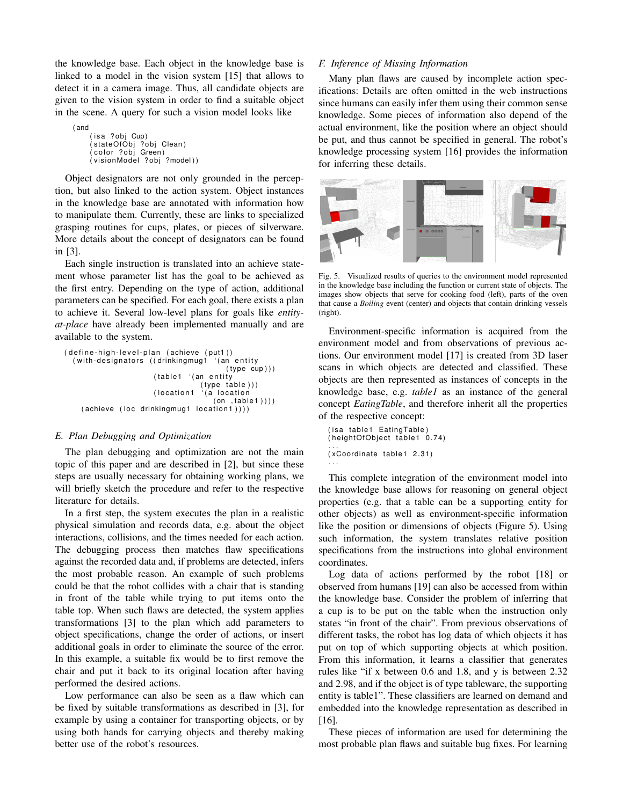the knowledge base. Each object in the knowledge base is linked to a model in the vision system [15] that allows to detect it in a camera image. Thus, all candidate objects are given to the vision system in order to find a suitable object in the scene. A query for such a vision model looks like

( and ( isa ?obj Cup) ( stateOfObj ?obj Clean ) (color ?obj Green) ( visionModel ?obj ?model ) )

Object designators are not only grounded in the perception, but also linked to the action system. Object instances in the knowledge base are annotated with information how to manipulate them. Currently, these are links to specialized grasping routines for cups, plates, or pieces of silverware. More details about the concept of designators can be found in [3].

Each single instruction is translated into an achieve statement whose parameter list has the goal to be achieved as the first entry. Depending on the type of action, additional parameters can be specified. For each goal, there exists a plan to achieve it. Several low-level plans for goals like *entityat-place* have already been implemented manually and are available to the system.

```
( define-high-level-plan ( achieve ( put1 ) )<br>( with-designators ( ( drinkingmug1 ' ( an entity
  ( with-designators ( ( drinkingmug1
                                                         ( type cup ) ) )
                               (table1 '(an entity)
                                (( (type table ))<br>Iocation1 '(a location)
                                                    ( on , table 1 ) ) ) )
     ( achieve (loc drinkingmug1 location1 ) ) ) )
```
# *E. Plan Debugging and Optimization*

The plan debugging and optimization are not the main topic of this paper and are described in [2], but since these steps are usually necessary for obtaining working plans, we will briefly sketch the procedure and refer to the respective literature for details.

In a first step, the system executes the plan in a realistic physical simulation and records data, e.g. about the object interactions, collisions, and the times needed for each action. The debugging process then matches flaw specifications against the recorded data and, if problems are detected, infers the most probable reason. An example of such problems could be that the robot collides with a chair that is standing in front of the table while trying to put items onto the table top. When such flaws are detected, the system applies transformations [3] to the plan which add parameters to object specifications, change the order of actions, or insert additional goals in order to eliminate the source of the error. In this example, a suitable fix would be to first remove the chair and put it back to its original location after having performed the desired actions.

Low performance can also be seen as a flaw which can be fixed by suitable transformations as described in [3], for example by using a container for transporting objects, or by using both hands for carrying objects and thereby making better use of the robot's resources.

#### *F. Inference of Missing Information*

Many plan flaws are caused by incomplete action specifications: Details are often omitted in the web instructions since humans can easily infer them using their common sense knowledge. Some pieces of information also depend of the actual environment, like the position where an object should be put, and thus cannot be specified in general. The robot's knowledge processing system [16] provides the information for inferring these details.



Fig. 5. Visualized results of queries to the environment model represented in the knowledge base including the function or current state of objects. The images show objects that serve for cooking food (left), parts of the oven that cause a *Boiling* event (center) and objects that contain drinking vessels (right).

Environment-specific information is acquired from the environment model and from observations of previous actions. Our environment model [17] is created from 3D laser scans in which objects are detected and classified. These objects are then represented as instances of concepts in the knowledge base, e.g. *table1* as an instance of the general concept *EatingTable*, and therefore inherit all the properties of the respective concept:

```
( isa table1 EatingTable )
( heightOfObject table1 0.74)
. . .
( xCoordinate table1 2.31)
. . .
```
This complete integration of the environment model into the knowledge base allows for reasoning on general object properties (e.g. that a table can be a supporting entity for other objects) as well as environment-specific information like the position or dimensions of objects (Figure 5). Using such information, the system translates relative position specifications from the instructions into global environment coordinates.

Log data of actions performed by the robot [18] or observed from humans [19] can also be accessed from within the knowledge base. Consider the problem of inferring that a cup is to be put on the table when the instruction only states "in front of the chair". From previous observations of different tasks, the robot has log data of which objects it has put on top of which supporting objects at which position. From this information, it learns a classifier that generates rules like "if x between 0.6 and 1.8, and y is between 2.32 and 2.98, and if the object is of type tableware, the supporting entity is table1". These classifiers are learned on demand and embedded into the knowledge representation as described in [16].

These pieces of information are used for determining the most probable plan flaws and suitable bug fixes. For learning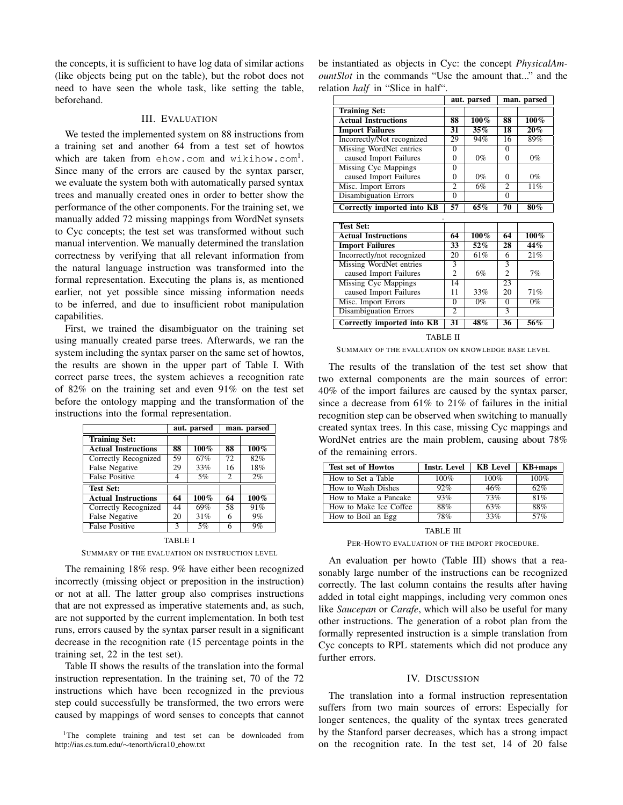the concepts, it is sufficient to have log data of similar actions (like objects being put on the table), but the robot does not need to have seen the whole task, like setting the table, beforehand.

# III. EVALUATION

We tested the implemented system on 88 instructions from a training set and another 64 from a test set of howtos which are taken from  $\epsilon$ how.com and wikihow.com<sup>1</sup>. Since many of the errors are caused by the syntax parser, we evaluate the system both with automatically parsed syntax trees and manually created ones in order to better show the performance of the other components. For the training set, we manually added 72 missing mappings from WordNet synsets to Cyc concepts; the test set was transformed without such manual intervention. We manually determined the translation correctness by verifying that all relevant information from the natural language instruction was transformed into the formal representation. Executing the plans is, as mentioned earlier, not yet possible since missing information needs to be inferred, and due to insufficient robot manipulation capabilities.

First, we trained the disambiguator on the training set using manually created parse trees. Afterwards, we ran the system including the syntax parser on the same set of howtos, the results are shown in the upper part of Table I. With correct parse trees, the system achieves a recognition rate of 82% on the training set and even 91% on the test set before the ontology mapping and the transformation of the instructions into the formal representation.

|                            | aut. parsed |      | man. parsed |      |  |  |
|----------------------------|-------------|------|-------------|------|--|--|
| <b>Training Set:</b>       |             |      |             |      |  |  |
| <b>Actual Instructions</b> | 88          | 100% | 88          | 100% |  |  |
| Correctly Recognized       | 59          | 67%  | 72          | 82%  |  |  |
| False Negative             | 29          | 33%  | 16          | 18%  |  |  |
| <b>False Positive</b>      | 4           | 5%   | 2           | 2%   |  |  |
| <b>Test Set:</b>           |             |      |             |      |  |  |
| <b>Actual Instructions</b> | 64          | 100% | 64          | 100% |  |  |
| Correctly Recognized       | 44          | 69%  | 58          | 91%  |  |  |
| False Negative             | 20          | 31%  | 6           | 9%   |  |  |
| <b>False Positive</b>      | 3           | 5%   | 6           | 9%   |  |  |
| TABLE I                    |             |      |             |      |  |  |

SUMMARY OF THE EVALUATION ON INSTRUCTION LEVEL

The remaining 18% resp. 9% have either been recognized incorrectly (missing object or preposition in the instruction) or not at all. The latter group also comprises instructions that are not expressed as imperative statements and, as such, are not supported by the current implementation. In both test runs, errors caused by the syntax parser result in a significant decrease in the recognition rate (15 percentage points in the training set, 22 in the test set).

Table II shows the results of the translation into the formal instruction representation. In the training set, 70 of the 72 instructions which have been recognized in the previous step could successfully be transformed, the two errors were caused by mappings of word senses to concepts that cannot

be instantiated as objects in Cyc: the concept *PhysicalAmountSlot* in the commands "Use the amount that..." and the relation *half* in "Slice in half".

|                                   | aut. parsed     |         | man. parsed    |                    |  |  |
|-----------------------------------|-----------------|---------|----------------|--------------------|--|--|
| <b>Training Set:</b>              |                 |         |                |                    |  |  |
| <b>Actual Instructions</b>        | 88              | $100\%$ | 88             | $100\%$            |  |  |
| <b>Import Failures</b>            | $\overline{31}$ | 35%     | 18             | $20\%$             |  |  |
| Incorrectly/Not recognized        | 29              | 94%     | 16             | 89%                |  |  |
| Missing WordNet entries           | $\theta$        |         | $\Omega$       |                    |  |  |
| caused Import Failures            | 0               | $0\%$   | $\Omega$       | $0\%$              |  |  |
| <b>Missing Cyc Mappings</b>       | $\theta$        |         |                |                    |  |  |
| caused Import Failures            | 0               | $0\%$   | $\Omega$       | $0\%$              |  |  |
| Misc. Import Errors               | $\overline{2}$  | 6%      | $\overline{2}$ | 11%                |  |  |
| Disambiguation Errors             | $\overline{0}$  |         | $\Omega$       |                    |  |  |
| <b>Correctly imported into KB</b> | 57              | 65%     | 70             | $80\%$             |  |  |
| <b>Test Set:</b>                  |                 |         |                |                    |  |  |
| <b>Actual Instructions</b>        | 64              | $100\%$ | 64             | $\overline{100\%}$ |  |  |
| <b>Import Failures</b>            | $\overline{33}$ | 52%     | 28             | 44%                |  |  |
| Incorrectly/not recognized        | 20              | 61%     | 6              | 21%                |  |  |
| Missing WordNet entries           | 3               |         | 3              |                    |  |  |
| caused Import Failures            | $\overline{c}$  | 6%      | $\overline{c}$ | 7%                 |  |  |
| Missing Cyc Mappings              | 14              |         | 23             |                    |  |  |
| caused Import Failures            | 11              | 33%     | 20             | 71%                |  |  |
| Misc. Import Errors               | $\Omega$        | $0\%$   | $\Omega$       | $0\%$              |  |  |
| <b>Disambiguation Errors</b>      | $\overline{c}$  |         | 3              |                    |  |  |
| <b>Correctly imported into KB</b> | 31              | 48%     | 36             | 56%                |  |  |
| TABLE II                          |                 |         |                |                    |  |  |

SUMMARY OF THE EVALUATION ON KNOWLEDGE BASE LEVEL

The results of the translation of the test set show that two external components are the main sources of error: 40% of the import failures are caused by the syntax parser, since a decrease from 61% to 21% of failures in the initial recognition step can be observed when switching to manually created syntax trees. In this case, missing Cyc mappings and WordNet entries are the main problem, causing about 78% of the remaining errors.

| <b>Test set of Howtos</b> | <b>Instr. Level</b> | <b>KB</b> Level | KB+maps |
|---------------------------|---------------------|-----------------|---------|
| How to Set a Table        | $100\%$             | $100\%$         | $100\%$ |
| How to Wash Dishes        | 92%                 | 46%             | 62%     |
| How to Make a Pancake     | 93%                 | 73%             | 81%     |
| How to Make Ice Coffee    | 88%                 | 63%             | 88%     |
| How to Boil an Egg        | 78%                 | 33%             | 57%     |

TABLE III

PER-HOWTO EVALUATION OF THE IMPORT PROCEDURE.

An evaluation per howto (Table III) shows that a reasonably large number of the instructions can be recognized correctly. The last column contains the results after having added in total eight mappings, including very common ones like *Saucepan* or *Carafe*, which will also be useful for many other instructions. The generation of a robot plan from the formally represented instruction is a simple translation from Cyc concepts to RPL statements which did not produce any further errors.

# IV. DISCUSSION

The translation into a formal instruction representation suffers from two main sources of errors: Especially for longer sentences, the quality of the syntax trees generated by the Stanford parser decreases, which has a strong impact on the recognition rate. In the test set, 14 of 20 false

<sup>&</sup>lt;sup>1</sup>The complete training and test set can be downloaded from http://ias.cs.tum.edu/∼tenorth/icra10 ehow.txt